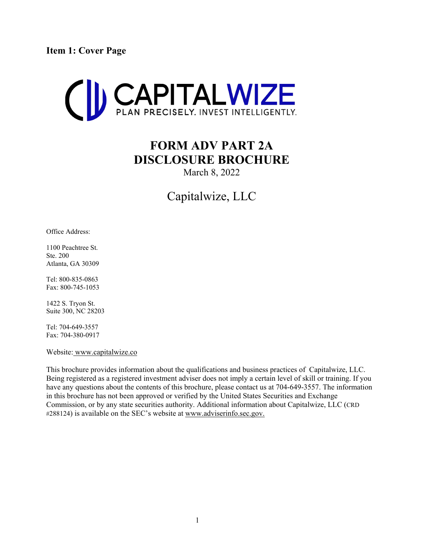<span id="page-0-0"></span>**Item 1: Cover Page**



# **FORM ADV PART 2A DISCLOSURE BROCHURE**

March 8, 2022

# Capitalwize, LLC

Office Address:

1100 Peachtree St. Ste. 200 Atlanta, GA 30309

Tel: 800-835-0863 Fax: 800-745-1053

1422 S. Tryon St. Suite 300, NC 28203

Tel: 704-649-3557 Fax: 704-380-0917

Website: [www.capitalwize.co](http://www.capitalwize.co/)

This brochure provides information about the qualifications and business practices of Capitalwize, LLC. Being registered as a registered investment adviser does not imply a certain level of skill or training. If you have any questions about the contents of this brochure, please contact us at 704-649-3557. The information in this brochure has not been approved or verified by the United States Securities and Exchange Commission, or by any state securities authority. Additional information about Capitalwize, LLC (CRD #288124) is available on the SEC's website at [www.adviserinfo.sec.gov.](http://www.adviserinfo.sec.gov/)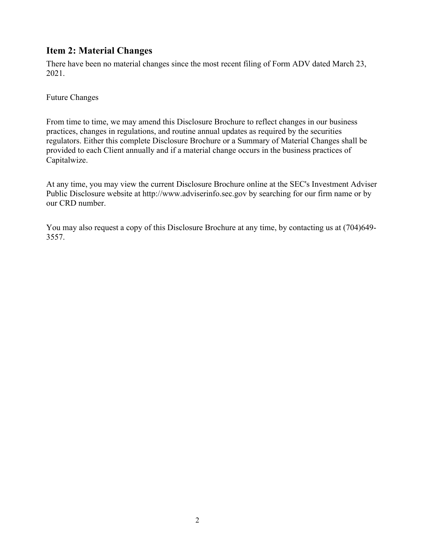# <span id="page-1-0"></span>**Item 2: Material Changes**

There have been no material changes since the most recent filing of Form ADV dated March 23, 2021.

Future Changes

From time to time, we may amend this Disclosure Brochure to reflect changes in our business practices, changes in regulations, and routine annual updates as required by the securities regulators. Either this complete Disclosure Brochure or a Summary of Material Changes shall be provided to each Client annually and if a material change occurs in the business practices of Capitalwize.

At any time, you may view the current Disclosure Brochure online at the SEC's Investment Adviser Public Disclosure website at http://www.adviserinfo.sec.gov by searching for our firm name or by our CRD number.

You may also request a copy of this Disclosure Brochure at any time, by contacting us at (704)649- 3557.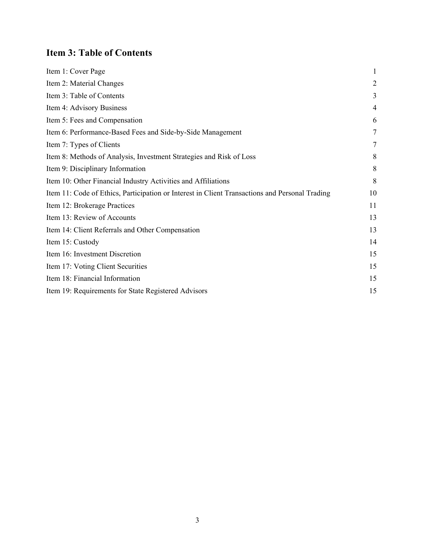# <span id="page-2-0"></span>**Item 3: Table of Contents**

| Item 1: Cover Page                                                                             | 1              |
|------------------------------------------------------------------------------------------------|----------------|
| Item 2: Material Changes                                                                       | $\overline{2}$ |
| Item 3: Table of Contents                                                                      | 3              |
| Item 4: Advisory Business                                                                      | 4              |
| Item 5: Fees and Compensation                                                                  | 6              |
| Item 6: Performance-Based Fees and Side-by-Side Management                                     | 7              |
| Item 7: Types of Clients                                                                       | 7              |
| Item 8: Methods of Analysis, Investment Strategies and Risk of Loss                            | 8              |
| Item 9: Disciplinary Information                                                               | 8              |
| Item 10: Other Financial Industry Activities and Affiliations                                  | 8              |
| Item 11: Code of Ethics, Participation or Interest in Client Transactions and Personal Trading | 10             |
| Item 12: Brokerage Practices                                                                   | 11             |
| Item 13: Review of Accounts                                                                    | 13             |
| Item 14: Client Referrals and Other Compensation                                               | 13             |
| Item 15: Custody                                                                               | 14             |
| Item 16: Investment Discretion                                                                 | 15             |
| Item 17: Voting Client Securities                                                              | 15             |
| Item 18: Financial Information                                                                 | 15             |
| Item 19: Requirements for State Registered Advisors                                            | 15             |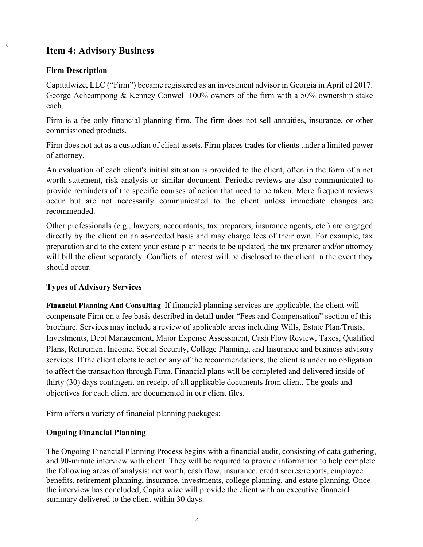# <span id="page-3-0"></span>**Item 4: Advisory Business**

## **Firm Description**

Capitalwize, LLC ("Firm") became registered as an investment advisor in Georgia in April of 2017. George Acheampong & Kenney Conwell 100% owners of the firm with a 50% ownership stake each.

Firm is a fee-only financial planning firm. The firm does not sell annuities, insurance, or other commissioned products.

Firm does not act as a custodian of client assets. Firm places trades for clients under a limited power of attorney.

An evaluation of each client's initial situation is provided to the client, often in the form of a net worth statement, risk analysis or similar document. Periodic reviews are also communicated to provide reminders of the specific courses of action that need to be taken. More frequent reviews occur but are not necessarily communicated to the client unless immediate changes are recommended.

Other professionals (e.g., lawyers, accountants, tax preparers, insurance agents, etc.) are engaged directly by the client on an as-needed basis and may charge fees of their own. For example, tax preparation and to the extent your estate plan needs to be updated, the tax preparer and/or attorney will bill the client separately. Conflicts of interest will be disclosed to the client in the event they should occur.

#### **Types of Advisory Services**

**Financial Planning And Consulting** If financial planning services are applicable, the client will compensate Firm on a fee basis described in detail under "Fees and Compensation" section of this brochure. Services may include a review of applicable areas including Wills, Estate Plan/Trusts, Investments, Debt Management, Major Expense Assessment, Cash Flow Review, Taxes, Qualified Plans, Retirement Income, Social Security, College Planning, and Insurance and business advisory services. If the client elects to act on any of the recommendations, the client is under no obligation to affect the transaction through Firm. Financial plans will be completed and delivered inside of thirty (30) days contingent on receipt of all applicable documents from client. The goals and objectives for each client are documented in our client files.

Firm offers a variety of financial planning packages:

# **Ongoing Financial Planning**

The Ongoing Financial Planning Process begins with a financial audit, consisting of data gathering, and 90-minute interview with client. They will be required to provide information to help complete the following areas of analysis: net worth, cash flow, insurance, credit scores/reports, employee benefits, retirement planning, insurance, investments, college planning, and estate planning. Once the interview has concluded, Capitalwize will provide the client with an executive financial summary delivered to the client within 30 days.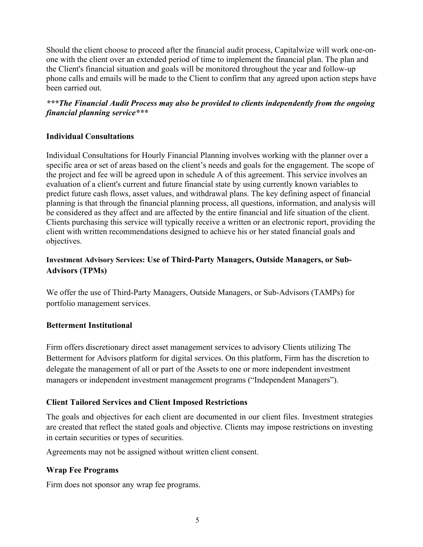Should the client choose to proceed after the financial audit process, Capitalwize will work one-onone with the client over an extended period of time to implement the financial plan. The plan and the Client's financial situation and goals will be monitored throughout the year and follow-up phone calls and emails will be made to the Client to confirm that any agreed upon action steps have been carried out.

### *\*\*\*The Financial Audit Process may also be provided to clients independently from the ongoing financial planning service\*\*\**

## **Individual Consultations**

Individual Consultations for Hourly Financial Planning involves working with the planner over a specific area or set of areas based on the client's needs and goals for the engagement. The scope of the project and fee will be agreed upon in schedule A of this agreement. This service involves an evaluation of a client's current and future financial state by using currently known variables to predict future cash flows, asset values, and withdrawal plans. The key defining aspect of financial planning is that through the financial planning process, all questions, information, and analysis will be considered as they affect and are affected by the entire financial and life situation of the client. Clients purchasing this service will typically receive a written or an electronic report, providing the client with written recommendations designed to achieve his or her stated financial goals and objectives.

# **Investment Advisory Services: Use of Third-Party Managers, Outside Managers, or Sub-Advisors (TPMs)**

We offer the use of Third-Party Managers, Outside Managers, or Sub-Advisors (TAMPs) for portfolio management services.

#### **Betterment Institutional**

Firm offers discretionary direct asset management services to advisory Clients utilizing The Betterment for Advisors platform for digital services. On this platform, Firm has the discretion to delegate the management of all or part of the Assets to one or more independent investment managers or independent investment management programs ("Independent Managers").

# **Client Tailored Services and Client Imposed Restrictions**

The goals and objectives for each client are documented in our client files. Investment strategies are created that reflect the stated goals and objective. Clients may impose restrictions on investing in certain securities or types of securities.

Agreements may not be assigned without written client consent.

#### **Wrap Fee Programs**

Firm does not sponsor any wrap fee programs.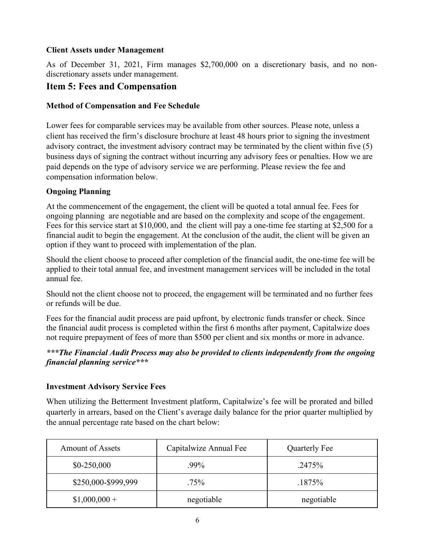#### **Client Assets under Management**

As of December 31, 2021, Firm manages \$2,700,000 on a discretionary basis, and no nondiscretionary assets under management.

# <span id="page-5-0"></span>**Item 5: Fees and Compensation**

#### **Method of Compensation and Fee Schedule**

Lower fees for comparable services may be available from other sources. Please note, unless a client has received the firm's disclosure brochure at least 48 hours prior to signing the investment advisory contract, the investment advisory contract may be terminated by the client within five (5) business days of signing the contract without incurring any advisory fees or penalties. How we are paid depends on the type of advisory service we are performing. Please review the fee and compensation information below.

#### **Ongoing Planning**

At the commencement of the engagement, the client will be quoted a total annual fee. Fees for ongoing planning are negotiable and are based on the complexity and scope of the engagement. Fees for this service start at \$10,000, and the client will pay a one-time fee starting at \$2,500 for a financial audit to begin the engagement. At the conclusion of the audit, the client will be given an option if they want to proceed with implementation of the plan.

Should the client choose to proceed after completion of the financial audit, the one-time fee will be applied to their total annual fee, and investment management services will be included in the total annual fee.

Should not the client choose not to proceed, the engagement will be terminated and no further fees or refunds will be due.

Fees for the financial audit process are paid upfront, by electronic funds transfer or check. Since the financial audit process is completed within the first 6 months after payment, Capitalwize does not require prepayment of fees of more than \$500 per client and six months or more in advance.

#### *\*\*\*The Financial Audit Process may also be provided to clients independently from the ongoing financial planning service\*\*\**

#### **Investment Advisory Service Fees**

When utilizing the Betterment Investment platform, Capitalwize's fee will be prorated and billed quarterly in arrears, based on the Client's average daily balance for the prior quarter multiplied by the annual percentage rate based on the chart below:

| <b>Amount of Assets</b> | Capitalwize Annual Fee | Quarterly Fee |
|-------------------------|------------------------|---------------|
| $$0-250,000$            | .99%                   | .2475%        |
| \$250,000-\$999,999     | $.75\%$                | .1875%        |
| $$1,000,000+$           | negotiable             | negotiable    |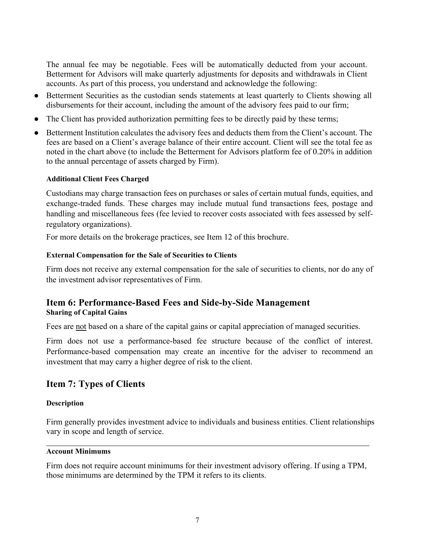The annual fee may be negotiable. Fees will be automatically deducted from your account. Betterment for Advisors will make quarterly adjustments for deposits and withdrawals in Client accounts. As part of this process, you understand and acknowledge the following:

- Betterment Securities as the custodian sends statements at least quarterly to Clients showing all disbursements for their account, including the amount of the advisory fees paid to our firm;
- The Client has provided authorization permitting fees to be directly paid by these terms;
- Betterment Institution calculates the advisory fees and deducts them from the Client's account. The fees are based on a Client's average balance of their entire account. Client will see the total fee as noted in the chart above (to include the Betterment for Advisors platform fee of 0.20% in addition to the annual percentage of assets charged by Firm).

#### **Additional Client Fees Charged**

Custodians may charge transaction fees on purchases or sales of certain mutual funds, equities, and exchange-traded funds. These charges may include mutual fund transactions fees, postage and handling and miscellaneous fees (fee levied to recover costs associated with fees assessed by selfregulatory organizations).

For more details on the brokerage practices, see Item 12 of this brochure.

#### **External Compensation for the Sale of Securities to Clients**

Firm does not receive any external compensation for the sale of securities to clients, nor do any of the investment advisor representatives of Firm.

## <span id="page-6-0"></span>**Item 6: Performance-Based Fees and Side-by-Side Management Sharing of Capital Gains**

Fees are not based on a share of the capital gains or capital appreciation of managed securities.

Firm does not use a performance-based fee structure because of the conflict of interest. Performance-based compensation may create an incentive for the adviser to recommend an investment that may carry a higher degree of risk to the client.

# <span id="page-6-1"></span>**Item 7: Types of Clients**

#### **Description**

Firm generally provides investment advice to individuals and business entities. Client relationships vary in scope and length of service.

#### **Account Minimums**

<span id="page-6-2"></span>Firm does not require account minimums for their investment advisory offering. If using a TPM, those minimums are determined by the TPM it refers to its clients.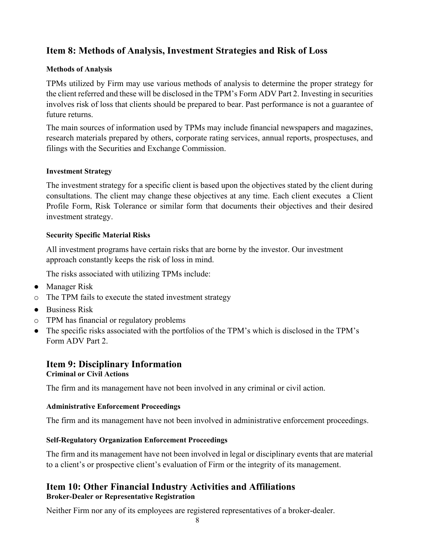# **Item 8: Methods of Analysis, Investment Strategies and Risk of Loss**

#### **Methods of Analysis**

TPMs utilized by Firm may use various methods of analysis to determine the proper strategy for the client referred and these will be disclosed in the TPM's Form ADV Part 2. Investing in securities involves risk of loss that clients should be prepared to bear. Past performance is not a guarantee of future returns.

The main sources of information used by TPMs may include financial newspapers and magazines, research materials prepared by others, corporate rating services, annual reports, prospectuses, and filings with the Securities and Exchange Commission.

#### **Investment Strategy**

The investment strategy for a specific client is based upon the objectives stated by the client during consultations. The client may change these objectives at any time. Each client executes a Client Profile Form, Risk Tolerance or similar form that documents their objectives and their desired investment strategy.

#### **Security Specific Material Risks**

All investment programs have certain risks that are borne by the investor. Our investment approach constantly keeps the risk of loss in mind.

The risks associated with utilizing TPMs include:

- Manager Risk
- o The TPM fails to execute the stated investment strategy
- Business Risk
- o TPM has financial or regulatory problems
- The specific risks associated with the portfolios of the TPM's which is disclosed in the TPM's Form ADV Part 2.

# <span id="page-7-0"></span>**Item 9: Disciplinary Information Criminal or Civil Actions**

The firm and its management have not been involved in any criminal or civil action.

#### **Administrative Enforcement Proceedings**

The firm and its management have not been involved in administrative enforcement proceedings.

#### **Self-Regulatory Organization Enforcement Proceedings**

The firm and its management have not been involved in legal or disciplinary events that are material to a client's or prospective client's evaluation of Firm or the integrity of its management.

## <span id="page-7-1"></span>**Item 10: Other Financial Industry Activities and Affiliations Broker-Dealer or Representative Registration**

Neither Firm nor any of its employees are registered representatives of a broker-dealer.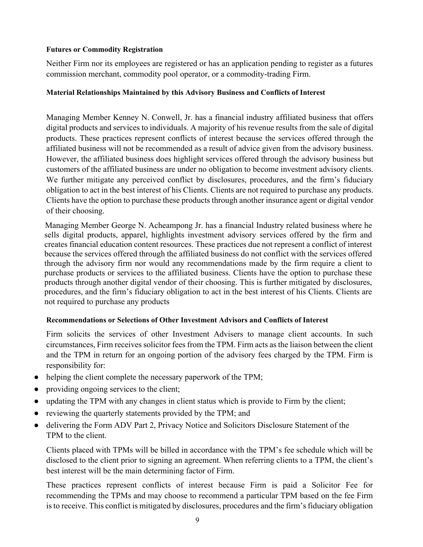#### **Futures or Commodity Registration**

Neither Firm nor its employees are registered or has an application pending to register as a futures commission merchant, commodity pool operator, or a commodity-trading Firm.

#### **Material Relationships Maintained by this Advisory Business and Conflicts of Interest**

Managing Member Kenney N. Conwell, Jr. has a financial industry affiliated business that offers digital products and services to individuals. A majority of his revenue results from the sale of digital products. These practices represent conflicts of interest because the services offered through the affiliated business will not be recommended as a result of advice given from the advisory business. However, the affiliated business does highlight services offered through the advisory business but customers of the affiliated business are under no obligation to become investment advisory clients. We further mitigate any perceived conflict by disclosures, procedures, and the firm's fiduciary obligation to act in the best interest of his Clients. Clients are not required to purchase any products. Clients have the option to purchase these products through another insurance agent or digital vendor of their choosing.

 Managing Member George N. Acheampong Jr. has a financial Industry related business where he sells digital products, apparel, highlights investment advisory services offered by the firm and creates financial education content resources. These practices due not represent a conflict of interest because the services offered through the affiliated business do not conflict with the services offered through the advisory firm nor would any recommendations made by the firm require a client to purchase products or services to the affiliated business. Clients have the option to purchase these products through another digital vendor of their choosing. This is further mitigated by disclosures, procedures, and the firm's fiduciary obligation to act in the best interest of his Clients. Clients are not required to purchase any products

#### **Recommendations or Selections of Other Investment Advisors and Conflicts of Interest**

Firm solicits the services of other Investment Advisers to manage client accounts. In such circumstances, Firm receives solicitor fees from the TPM. Firm acts as the liaison between the client and the TPM in return for an ongoing portion of the advisory fees charged by the TPM. Firm is responsibility for:

- helping the client complete the necessary paperwork of the TPM;
- providing ongoing services to the client;
- updating the TPM with any changes in client status which is provide to Firm by the client;
- reviewing the quarterly statements provided by the TPM; and
- delivering the Form ADV Part 2, Privacy Notice and Solicitors Disclosure Statement of the TPM to the client.

Clients placed with TPMs will be billed in accordance with the TPM's fee schedule which will be disclosed to the client prior to signing an agreement. When referring clients to a TPM, the client's best interest will be the main determining factor of Firm.

These practices represent conflicts of interest because Firm is paid a Solicitor Fee for recommending the TPMs and may choose to recommend a particular TPM based on the fee Firm is to receive. This conflict is mitigated by disclosures, procedures and the firm's fiduciary obligation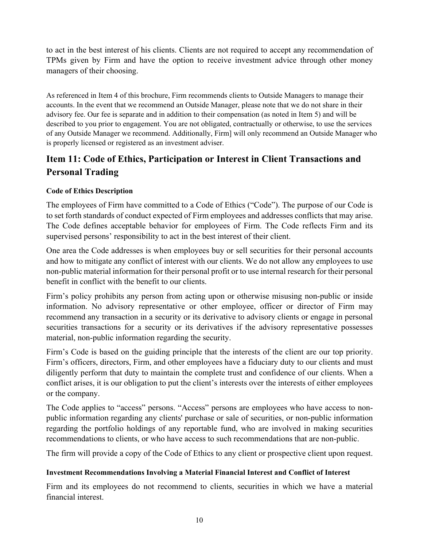to act in the best interest of his clients. Clients are not required to accept any recommendation of TPMs given by Firm and have the option to receive investment advice through other money managers of their choosing.

As referenced in Item 4 of this brochure, Firm recommends clients to Outside Managers to manage their accounts. In the event that we recommend an Outside Manager, please note that we do not share in their advisory fee. Our fee is separate and in addition to their compensation (as noted in Item 5) and will be described to you prior to engagement. You are not obligated, contractually or otherwise, to use the services of any Outside Manager we recommend. Additionally, Firm] will only recommend an Outside Manager who is properly licensed or registered as an investment adviser.

# <span id="page-9-0"></span>**Item 11: Code of Ethics, Participation or Interest in Client Transactions and Personal Trading**

## **Code of Ethics Description**

The employees of Firm have committed to a Code of Ethics ("Code"). The purpose of our Code is to set forth standards of conduct expected of Firm employees and addresses conflicts that may arise. The Code defines acceptable behavior for employees of Firm. The Code reflects Firm and its supervised persons' responsibility to act in the best interest of their client.

One area the Code addresses is when employees buy or sell securities for their personal accounts and how to mitigate any conflict of interest with our clients. We do not allow any employees to use non-public material information for their personal profit or to use internal research for their personal benefit in conflict with the benefit to our clients.

Firm's policy prohibits any person from acting upon or otherwise misusing non-public or inside information. No advisory representative or other employee, officer or director of Firm may recommend any transaction in a security or its derivative to advisory clients or engage in personal securities transactions for a security or its derivatives if the advisory representative possesses material, non-public information regarding the security.

Firm's Code is based on the guiding principle that the interests of the client are our top priority. Firm's officers, directors, Firm, and other employees have a fiduciary duty to our clients and must diligently perform that duty to maintain the complete trust and confidence of our clients. When a conflict arises, it is our obligation to put the client's interests over the interests of either employees or the company.

The Code applies to "access" persons. "Access" persons are employees who have access to nonpublic information regarding any clients' purchase or sale of securities, or non-public information regarding the portfolio holdings of any reportable fund, who are involved in making securities recommendations to clients, or who have access to such recommendations that are non-public.

The firm will provide a copy of the Code of Ethics to any client or prospective client upon request.

#### **Investment Recommendations Involving a Material Financial Interest and Conflict of Interest**

Firm and its employees do not recommend to clients, securities in which we have a material financial interest.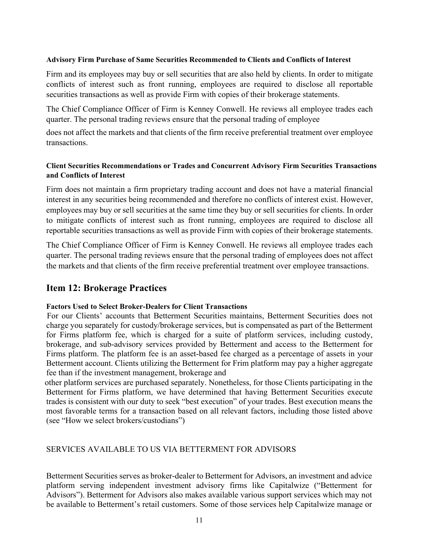#### **Advisory Firm Purchase of Same Securities Recommended to Clients and Conflicts of Interest**

Firm and its employees may buy or sell securities that are also held by clients. In order to mitigate conflicts of interest such as front running, employees are required to disclose all reportable securities transactions as well as provide Firm with copies of their brokerage statements.

The Chief Compliance Officer of Firm is Kenney Conwell. He reviews all employee trades each quarter. The personal trading reviews ensure that the personal trading of employee

does not affect the markets and that clients of the firm receive preferential treatment over employee transactions.

#### **Client Securities Recommendations or Trades and Concurrent Advisory Firm Securities Transactions and Conflicts of Interest**

Firm does not maintain a firm proprietary trading account and does not have a material financial interest in any securities being recommended and therefore no conflicts of interest exist. However, employees may buy or sell securities at the same time they buy or sell securities for clients. In order to mitigate conflicts of interest such as front running, employees are required to disclose all reportable securities transactions as well as provide Firm with copies of their brokerage statements.

The Chief Compliance Officer of Firm is Kenney Conwell. He reviews all employee trades each quarter. The personal trading reviews ensure that the personal trading of employees does not affect the markets and that clients of the firm receive preferential treatment over employee transactions.

# <span id="page-10-0"></span>**Item 12: Brokerage Practices**

#### **Factors Used to Select Broker-Dealers for Client Transactions**

 For our Clients' accounts that Betterment Securities maintains, Betterment Securities does not charge you separately for custody/brokerage services, but is compensated as part of the Betterment for Firms platform fee, which is charged for a suite of platform services, including custody, brokerage, and sub-advisory services provided by Betterment and access to the Betterment for Firms platform. The platform fee is an asset-based fee charged as a percentage of assets in your Betterment account. Clients utilizing the Betterment for Frim platform may pay a higher aggregate fee than if the investment management, brokerage and

 other platform services are purchased separately. Nonetheless, for those Clients participating in the Betterment for Firms platform, we have determined that having Betterment Securities execute trades is consistent with our duty to seek "best execution" of your trades. Best execution means the most favorable terms for a transaction based on all relevant factors, including those listed above (see "How we select brokers/custodians")

#### SERVICES AVAILABLE TO US VIA BETTERMENT FOR ADVISORS

Betterment Securities serves as broker-dealer to Betterment for Advisors, an investment and advice platform serving independent investment advisory firms like Capitalwize ("Betterment for Advisors"). Betterment for Advisors also makes available various support services which may not be available to Betterment's retail customers. Some of those services help Capitalwize manage or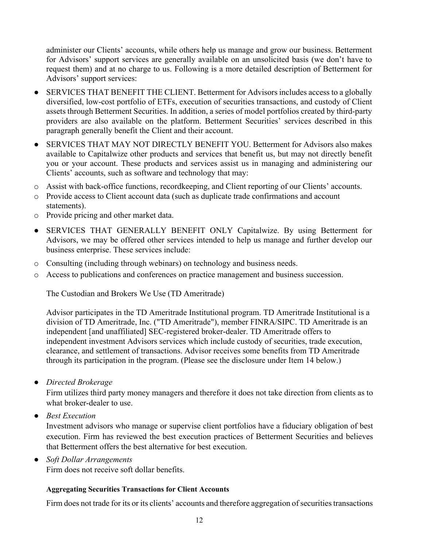administer our Clients' accounts, while others help us manage and grow our business. Betterment for Advisors' support services are generally available on an unsolicited basis (we don't have to request them) and at no charge to us. Following is a more detailed description of Betterment for Advisors' support services:

- SERVICES THAT BENEFIT THE CLIENT. Betterment for Advisors includes access to a globally diversified, low-cost portfolio of ETFs, execution of securities transactions, and custody of Client assets through Betterment Securities. In addition, a series of model portfolios created by third-party providers are also available on the platform. Betterment Securities' services described in this paragraph generally benefit the Client and their account.
- SERVICES THAT MAY NOT DIRECTLY BENEFIT YOU. Betterment for Advisors also makes available to Capitalwize other products and services that benefit us, but may not directly benefit you or your account. These products and services assist us in managing and administering our Clients' accounts, such as software and technology that may:
- o Assist with back-office functions, recordkeeping, and Client reporting of our Clients' accounts.
- o Provide access to Client account data (such as duplicate trade confirmations and account statements).
- o Provide pricing and other market data.
- SERVICES THAT GENERALLY BENEFIT ONLY Capitalwize. By using Betterment for Advisors, we may be offered other services intended to help us manage and further develop our business enterprise. These services include:
- o Consulting (including through webinars) on technology and business needs.
- o Access to publications and conferences on practice management and business succession.

The Custodian and Brokers We Use (TD Ameritrade)

Advisor participates in the TD Ameritrade Institutional program. TD Ameritrade Institutional is a division of TD Ameritrade, Inc. ("TD Ameritrade"), member FINRA/SIPC. TD Ameritrade is an independent [and unaffiliated] SEC-registered broker-dealer. TD Ameritrade offers to independent investment Advisors services which include custody of securities, trade execution, clearance, and settlement of transactions. Advisor receives some benefits from TD Ameritrade through its participation in the program. (Please see the disclosure under Item 14 below.)

● *Directed Brokerage*

Firm utilizes third party money managers and therefore it does not take direction from clients as to what broker-dealer to use.

● *Best Execution*

Investment advisors who manage or supervise client portfolios have a fiduciary obligation of best execution. Firm has reviewed the best execution practices of Betterment Securities and believes that Betterment offers the best alternative for best execution.

● *Soft Dollar Arrangements*

Firm does not receive soft dollar benefits.

#### **Aggregating Securities Transactions for Client Accounts**

Firm does not trade for its or its clients' accounts and therefore aggregation of securities transactions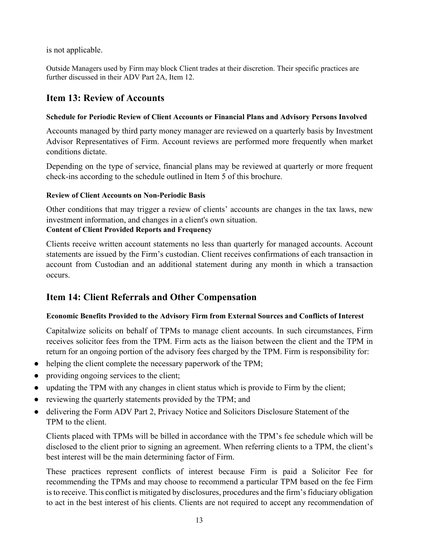is not applicable.

Outside Managers used by Firm may block Client trades at their discretion. Their specific practices are further discussed in their ADV Part 2A, Item 12.

# <span id="page-12-0"></span>**Item 13: Review of Accounts**

### **Schedule for Periodic Review of Client Accounts or Financial Plans and Advisory Persons Involved**

Accounts managed by third party money manager are reviewed on a quarterly basis by Investment Advisor Representatives of Firm. Account reviews are performed more frequently when market conditions dictate.

Depending on the type of service, financial plans may be reviewed at quarterly or more frequent check-ins according to the schedule outlined in Item 5 of this brochure.

# **Review of Client Accounts on Non-Periodic Basis**

Other conditions that may trigger a review of clients' accounts are changes in the tax laws, new investment information, and changes in a client's own situation. **Content of Client Provided Reports and Frequency**

Clients receive written account statements no less than quarterly for managed accounts. Account statements are issued by the Firm's custodian. Client receives confirmations of each transaction in account from Custodian and an additional statement during any month in which a transaction occurs.

# <span id="page-12-1"></span>**Item 14: Client Referrals and Other Compensation**

# **Economic Benefits Provided to the Advisory Firm from External Sources and Conflicts of Interest**

Capitalwize solicits on behalf of TPMs to manage client accounts. In such circumstances, Firm receives solicitor fees from the TPM. Firm acts as the liaison between the client and the TPM in return for an ongoing portion of the advisory fees charged by the TPM. Firm is responsibility for:

- helping the client complete the necessary paperwork of the TPM;
- providing ongoing services to the client;
- updating the TPM with any changes in client status which is provide to Firm by the client;
- reviewing the quarterly statements provided by the TPM; and
- delivering the Form ADV Part 2, Privacy Notice and Solicitors Disclosure Statement of the TPM to the client.

Clients placed with TPMs will be billed in accordance with the TPM's fee schedule which will be disclosed to the client prior to signing an agreement. When referring clients to a TPM, the client's best interest will be the main determining factor of Firm.

These practices represent conflicts of interest because Firm is paid a Solicitor Fee for recommending the TPMs and may choose to recommend a particular TPM based on the fee Firm is to receive. This conflict is mitigated by disclosures, procedures and the firm's fiduciary obligation to act in the best interest of his clients. Clients are not required to accept any recommendation of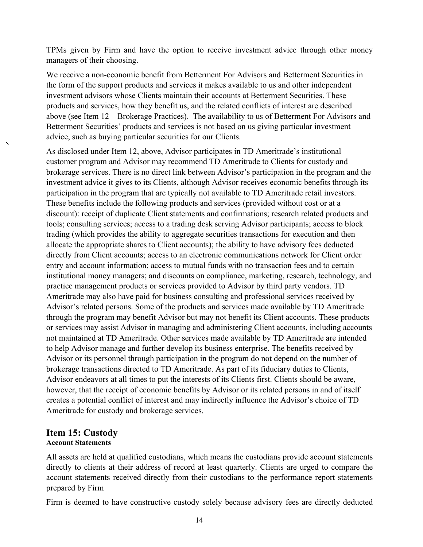TPMs given by Firm and have the option to receive investment advice through other money managers of their choosing.

We receive a non-economic benefit from Betterment For Advisors and Betterment Securities in the form of the support products and services it makes available to us and other independent investment advisors whose Clients maintain their accounts at Betterment Securities. These products and services, how they benefit us, and the related conflicts of interest are described above (see Item 12—Brokerage Practices). The availability to us of Betterment For Advisors and Betterment Securities' products and services is not based on us giving particular investment advice, such as buying particular securities for our Clients.

As disclosed under Item 12, above, Advisor participates in TD Ameritrade's institutional customer program and Advisor may recommend TD Ameritrade to Clients for custody and brokerage services. There is no direct link between Advisor's participation in the program and the investment advice it gives to its Clients, although Advisor receives economic benefits through its participation in the program that are typically not available to TD Ameritrade retail investors. These benefits include the following products and services (provided without cost or at a discount): receipt of duplicate Client statements and confirmations; research related products and tools; consulting services; access to a trading desk serving Advisor participants; access to block trading (which provides the ability to aggregate securities transactions for execution and then allocate the appropriate shares to Client accounts); the ability to have advisory fees deducted directly from Client accounts; access to an electronic communications network for Client order entry and account information; access to mutual funds with no transaction fees and to certain institutional money managers; and discounts on compliance, marketing, research, technology, and practice management products or services provided to Advisor by third party vendors. TD Ameritrade may also have paid for business consulting and professional services received by Advisor's related persons. Some of the products and services made available by TD Ameritrade through the program may benefit Advisor but may not benefit its Client accounts. These products or services may assist Advisor in managing and administering Client accounts, including accounts not maintained at TD Ameritrade. Other services made available by TD Ameritrade are intended to help Advisor manage and further develop its business enterprise. The benefits received by Advisor or its personnel through participation in the program do not depend on the number of brokerage transactions directed to TD Ameritrade. As part of its fiduciary duties to Clients, Advisor endeavors at all times to put the interests of its Clients first. Clients should be aware, however, that the receipt of economic benefits by Advisor or its related persons in and of itself creates a potential conflict of interest and may indirectly influence the Advisor's choice of TD Ameritrade for custody and brokerage services.

#### <span id="page-13-0"></span>**Item 15: Custody Account Statements**

All assets are held at qualified custodians, which means the custodians provide account statements directly to clients at their address of record at least quarterly. Clients are urged to compare the account statements received directly from their custodians to the performance report statements prepared by Firm

Firm is deemed to have constructive custody solely because advisory fees are directly deducted